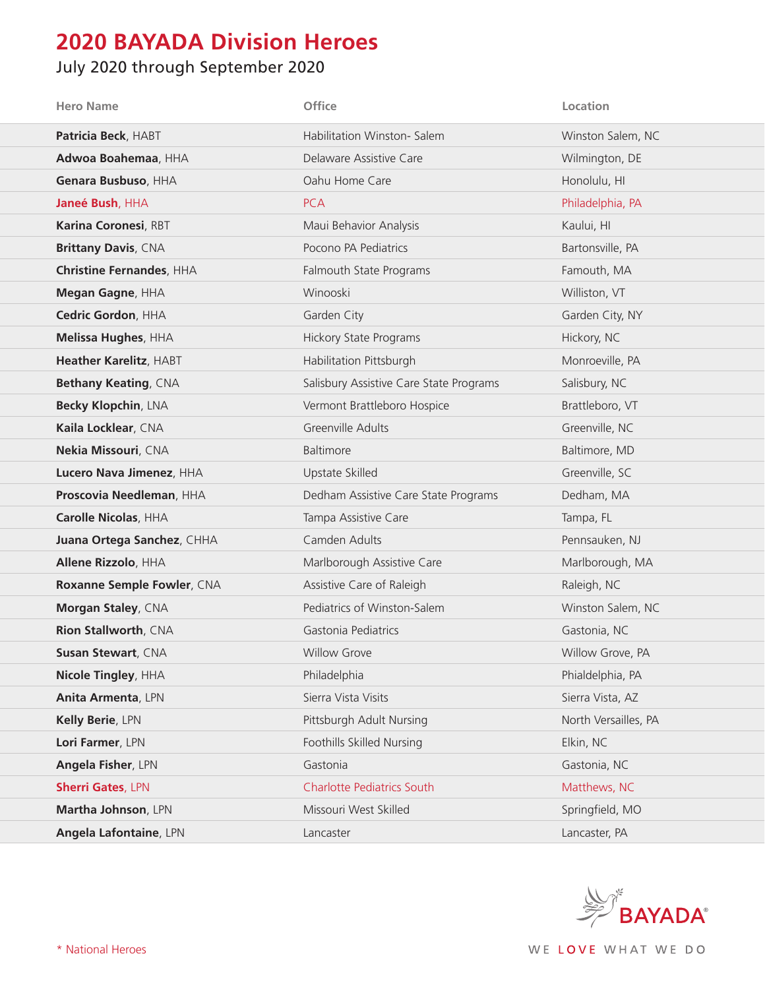## **2020 BAYADA Division Heroes**

## July 2020 through September 2020

| <b>Hero Name</b>                | <b>Office</b>                           | Location             |
|---------------------------------|-----------------------------------------|----------------------|
| Patricia Beck, HABT             | Habilitation Winston- Salem             | Winston Salem, NC    |
| Adwoa Boahemaa, HHA             | Delaware Assistive Care                 | Wilmington, DE       |
| Genara Busbuso, HHA             | Oahu Home Care                          | Honolulu, HI         |
| Janeé Bush, HHA                 | <b>PCA</b>                              | Philadelphia, PA     |
| Karina Coronesi, RBT            | Maui Behavior Analysis                  | Kaului, HI           |
| <b>Brittany Davis, CNA</b>      | Pocono PA Pediatrics                    | Bartonsville, PA     |
| <b>Christine Fernandes, HHA</b> | Falmouth State Programs                 | Famouth, MA          |
| Megan Gagne, HHA                | Winooski                                | Williston, VT        |
| Cedric Gordon, HHA              | Garden City                             | Garden City, NY      |
| Melissa Hughes, HHA             | <b>Hickory State Programs</b>           | Hickory, NC          |
| Heather Karelitz, HABT          | Habilitation Pittsburgh                 | Monroeville, PA      |
| <b>Bethany Keating, CNA</b>     | Salisbury Assistive Care State Programs | Salisbury, NC        |
| Becky Klopchin, LNA             | Vermont Brattleboro Hospice             | Brattleboro, VT      |
| Kaila Locklear, CNA             | Greenville Adults                       | Greenville, NC       |
| Nekia Missouri, CNA             | Baltimore                               | Baltimore, MD        |
| Lucero Nava Jimenez, HHA        | Upstate Skilled                         | Greenville, SC       |
| Proscovia Needleman, HHA        | Dedham Assistive Care State Programs    | Dedham, MA           |
| Carolle Nicolas, HHA            | Tampa Assistive Care                    | Tampa, FL            |
| Juana Ortega Sanchez, CHHA      | Camden Adults                           | Pennsauken, NJ       |
| Allene Rizzolo, HHA             | Marlborough Assistive Care              | Marlborough, MA      |
| Roxanne Semple Fowler, CNA      | Assistive Care of Raleigh               | Raleigh, NC          |
| Morgan Staley, CNA              | Pediatrics of Winston-Salem             | Winston Salem, NC    |
| Rion Stallworth, CNA            | Gastonia Pediatrics                     | Gastonia, NC         |
| <b>Susan Stewart, CNA</b>       | <b>Willow Grove</b>                     | Willow Grove, PA     |
| Nicole Tingley, HHA             | Philadelphia                            | Phialdelphia, PA     |
| Anita Armenta, LPN              | Sierra Vista Visits                     | Sierra Vista, AZ     |
| Kelly Berie, LPN                | Pittsburgh Adult Nursing                | North Versailles, PA |
| Lori Farmer, LPN                | Foothills Skilled Nursing               | Elkin, NC            |
| Angela Fisher, LPN              | Gastonia                                | Gastonia, NC         |
| <b>Sherri Gates, LPN</b>        | <b>Charlotte Pediatrics South</b>       | Matthews, NC         |
| Martha Johnson, LPN             | Missouri West Skilled                   | Springfield, MO      |
| <b>Angela Lafontaine, LPN</b>   | Lancaster                               | Lancaster, PA        |

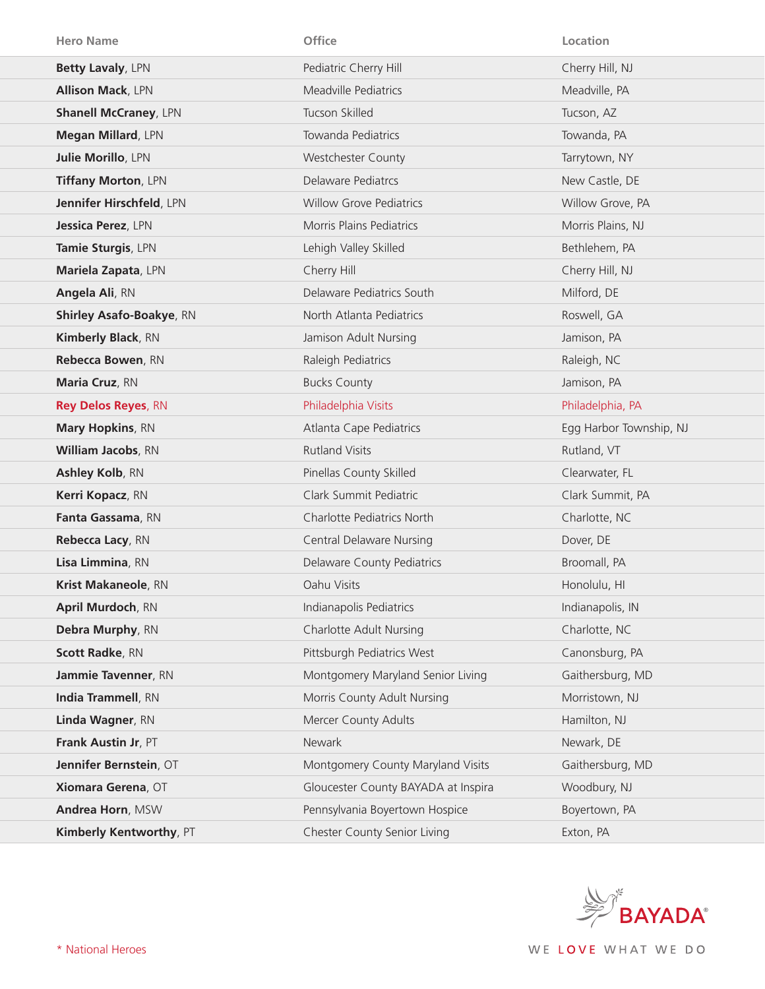| <b>Hero Name</b>                | <b>Office</b>                       | Location                |
|---------------------------------|-------------------------------------|-------------------------|
| Betty Lavaly, LPN               | Pediatric Cherry Hill               | Cherry Hill, NJ         |
| <b>Allison Mack, LPN</b>        | <b>Meadville Pediatrics</b>         | Meadville, PA           |
| <b>Shanell McCraney, LPN</b>    | Tucson Skilled                      | Tucson, AZ              |
| Megan Millard, LPN              | Towanda Pediatrics                  | Towanda, PA             |
| Julie Morillo, LPN              | Westchester County                  | Tarrytown, NY           |
| Tiffany Morton, LPN             | Delaware Pediatrcs                  | New Castle, DE          |
| Jennifer Hirschfeld, LPN        | <b>Willow Grove Pediatrics</b>      | Willow Grove, PA        |
| Jessica Perez, LPN              | Morris Plains Pediatrics            | Morris Plains, NJ       |
| Tamie Sturgis, LPN              | Lehigh Valley Skilled               | Bethlehem, PA           |
| Mariela Zapata, LPN             | Cherry Hill                         | Cherry Hill, NJ         |
| Angela Ali, RN                  | Delaware Pediatrics South           | Milford, DE             |
| <b>Shirley Asafo-Boakye, RN</b> | North Atlanta Pediatrics            | Roswell, GA             |
| <b>Kimberly Black, RN</b>       | Jamison Adult Nursing               | Jamison, PA             |
| Rebecca Bowen, RN               | Raleigh Pediatrics                  | Raleigh, NC             |
| Maria Cruz, RN                  | <b>Bucks County</b>                 | Jamison, PA             |
| <b>Rey Delos Reyes, RN</b>      | Philadelphia Visits                 | Philadelphia, PA        |
| <b>Mary Hopkins, RN</b>         | Atlanta Cape Pediatrics             | Egg Harbor Township, NJ |
| <b>William Jacobs, RN</b>       | <b>Rutland Visits</b>               | Rutland, VT             |
| Ashley Kolb, RN                 | Pinellas County Skilled             | Clearwater, FL          |
| Kerri Kopacz, RN                | Clark Summit Pediatric              | Clark Summit, PA        |
| Fanta Gassama, RN               | Charlotte Pediatrics North          | Charlotte, NC           |
| Rebecca Lacy, RN                | <b>Central Delaware Nursing</b>     | Dover, DE               |
| Lisa Limmina, RN                | Delaware County Pediatrics          | Broomall, PA            |
| <b>Krist Makaneole, RN</b>      | Oahu Visits                         | Honolulu, HI            |
| April Murdoch, RN               | Indianapolis Pediatrics             | Indianapolis, IN        |
| Debra Murphy, RN                | <b>Charlotte Adult Nursing</b>      | Charlotte, NC           |
| <b>Scott Radke, RN</b>          | Pittsburgh Pediatrics West          | Canonsburg, PA          |
| Jammie Tavenner, RN             | Montgomery Maryland Senior Living   | Gaithersburg, MD        |
| India Trammell, RN              | Morris County Adult Nursing         | Morristown, NJ          |
| Linda Wagner, RN                | Mercer County Adults                | Hamilton, NJ            |
| Frank Austin Jr, PT             | Newark                              | Newark, DE              |
| Jennifer Bernstein, OT          | Montgomery County Maryland Visits   | Gaithersburg, MD        |
| Xiomara Gerena, OT              | Gloucester County BAYADA at Inspira | Woodbury, NJ            |
| Andrea Horn, MSW                | Pennsylvania Boyertown Hospice      | Boyertown, PA           |
| Kimberly Kentworthy, PT         | <b>Chester County Senior Living</b> | Exton, PA               |